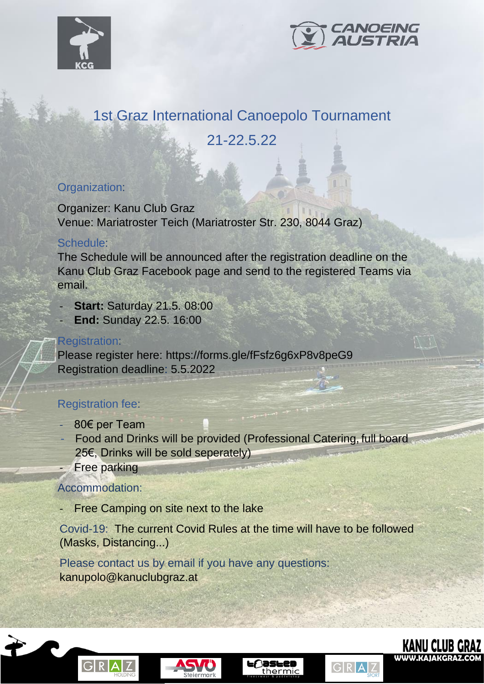



# 1st Graz International Canoepolo Tournament

## 21-22.5.22

#### Organization:

Organizer: Kanu Club Graz Venue: Mariatroster Teich (Mariatroster Str. 230, 8044 Graz)

#### Schedule:

The Schedule will be announced after the registration deadline on the Kanu Club Graz Facebook page and send to the registered Teams via email.

- **Start: Saturday 21.5. 08:00**
- **End:** Sunday 22.5. 16:00

#### Registration:

Please register here: https://forms.gle/fFsfz6g6xP8v8peG9 Registration deadline: 5.5.2022

### Registration fee:

- 80€ per Team
- Food and Drinks will be provided (Professional Catering, full board 25€, Drinks will be sold seperately)
- Free parking

#### Accommodation:

Free Camping on site next to the lake

Covid-19: The current Covid Rules at the time will have to be followed (Masks, Distancing...)

Please contact us by email if you have any questions: kanupolo@kanuclubgraz.at









GRAZ